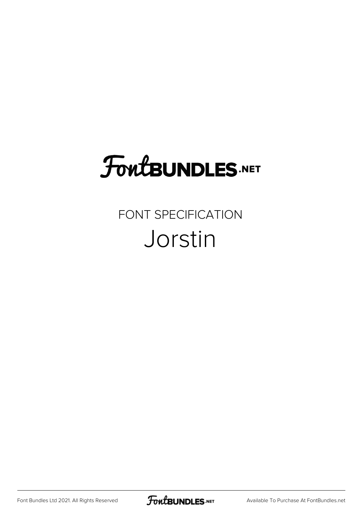## **FoutBUNDLES.NET**

## FONT SPECIFICATION Jorstin

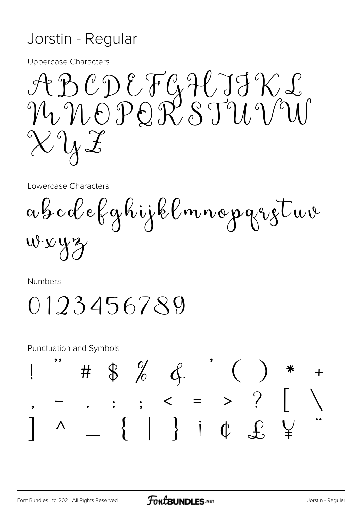## Jorstin - Regular

**Uppercase Characters** 

ABCDEFGHJJKL<br>NMOPORSTUVW  $\chi \gamma$ 

Lowercase Characters

abcdefghijklmnopqretuv  $wxyz$ 

Numbers

0123456789

**Punctuation and Symbols** 

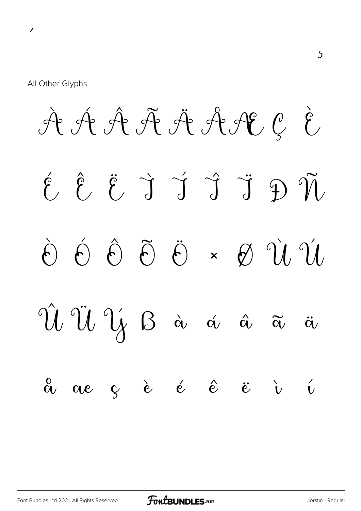À Á Â Ã Ä ÅÆ Ç È É Ê Ë Ì Í Î Ï Ð Ñ  $\dot{\theta}$   $\dot{\theta}$   $\ddot{\theta}$   $\ddot{\theta}$   $\times$   $\dot{\theta}$   $\dot{\theta}$   $\dot{\theta}$ Û Ü Ý ß à á â ã ä  $\stackrel{0}{\alpha}$   $\alpha$   $\stackrel{.}{c}$   $\stackrel{.}{e}$   $\stackrel{.}{e}$   $\stackrel{.}{e}$   $\stackrel{.}{e}$   $\stackrel{.}{e}$   $\stackrel{.}{v}$   $\stackrel{.}{v}$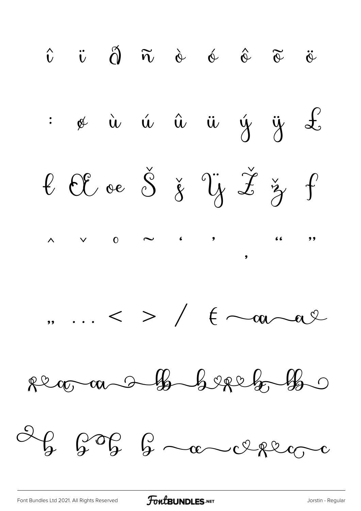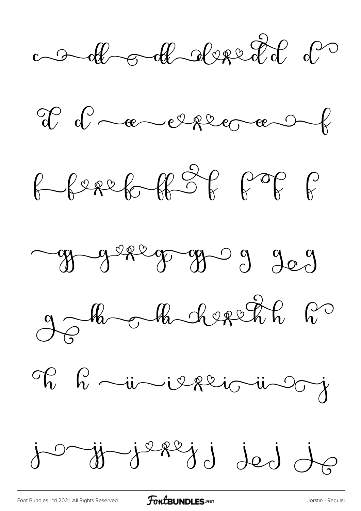a de obt desert d











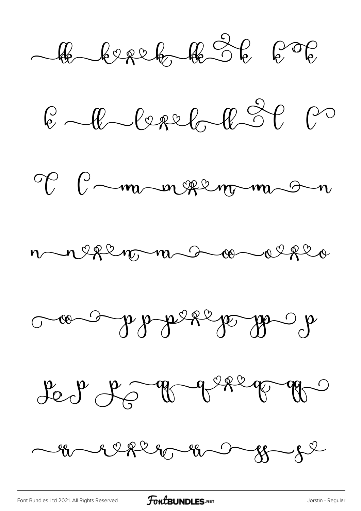le berek le 36 606

 $6 - 0 - 0 - 0 - 0 - 0 - 0 - 0$ 









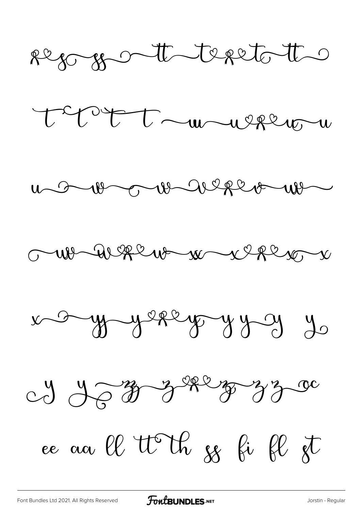











ce aa ll tt th ss bi fl st